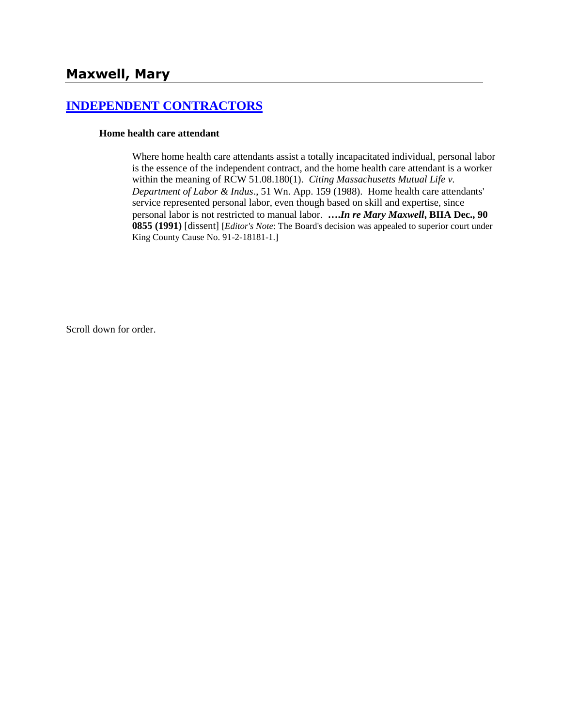# **[INDEPENDENT CONTRACTORS](http://www.biia.wa.gov/SDSubjectIndex.html#INDEPENDENT_CONTRACTORS)**

#### **Home health care attendant**

Where home health care attendants assist a totally incapacitated individual, personal labor is the essence of the independent contract, and the home health care attendant is a worker within the meaning of RCW 51.08.180(1). *Citing Massachusetts Mutual Life v. Department of Labor & Indus*., 51 Wn. App. 159 (1988). Home health care attendants' service represented personal labor, even though based on skill and expertise, since personal labor is not restricted to manual labor. **….***In re Mary Maxwell***, BIIA Dec., 90 0855 (1991)** [dissent] [*Editor's Note*: The Board's decision was appealed to superior court under King County Cause No. 91-2-18181-1.]

Scroll down for order.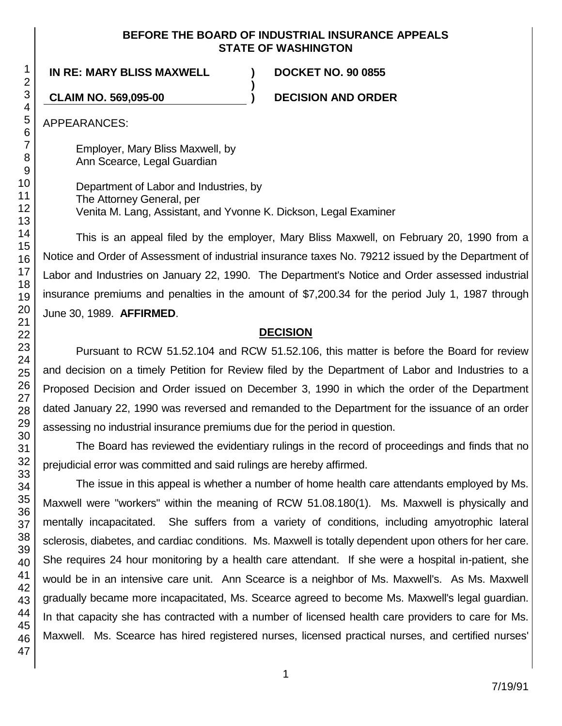## **BEFORE THE BOARD OF INDUSTRIAL INSURANCE APPEALS STATE OF WASHINGTON**

**)**

**IN RE: MARY BLISS MAXWELL ) DOCKET NO. 90 0855**

**CLAIM NO. 569,095-00 ) DECISION AND ORDER**

APPEARANCES:

Employer, Mary Bliss Maxwell, by Ann Scearce, Legal Guardian

Department of Labor and Industries, by The Attorney General, per Venita M. Lang, Assistant, and Yvonne K. Dickson, Legal Examiner

This is an appeal filed by the employer, Mary Bliss Maxwell, on February 20, 1990 from a Notice and Order of Assessment of industrial insurance taxes No. 79212 issued by the Department of Labor and Industries on January 22, 1990. The Department's Notice and Order assessed industrial insurance premiums and penalties in the amount of \$7,200.34 for the period July 1, 1987 through June 30, 1989. **AFFIRMED**.

## **DECISION**

Pursuant to RCW 51.52.104 and RCW 51.52.106, this matter is before the Board for review and decision on a timely Petition for Review filed by the Department of Labor and Industries to a Proposed Decision and Order issued on December 3, 1990 in which the order of the Department dated January 22, 1990 was reversed and remanded to the Department for the issuance of an order assessing no industrial insurance premiums due for the period in question.

The Board has reviewed the evidentiary rulings in the record of proceedings and finds that no prejudicial error was committed and said rulings are hereby affirmed.

The issue in this appeal is whether a number of home health care attendants employed by Ms. Maxwell were "workers" within the meaning of RCW 51.08.180(1). Ms. Maxwell is physically and mentally incapacitated. She suffers from a variety of conditions, including amyotrophic lateral sclerosis, diabetes, and cardiac conditions. Ms. Maxwell is totally dependent upon others for her care. She requires 24 hour monitoring by a health care attendant. If she were a hospital in-patient, she would be in an intensive care unit. Ann Scearce is a neighbor of Ms. Maxwell's. As Ms. Maxwell gradually became more incapacitated, Ms. Scearce agreed to become Ms. Maxwell's legal guardian. In that capacity she has contracted with a number of licensed health care providers to care for Ms. Maxwell. Ms. Scearce has hired registered nurses, licensed practical nurses, and certified nurses'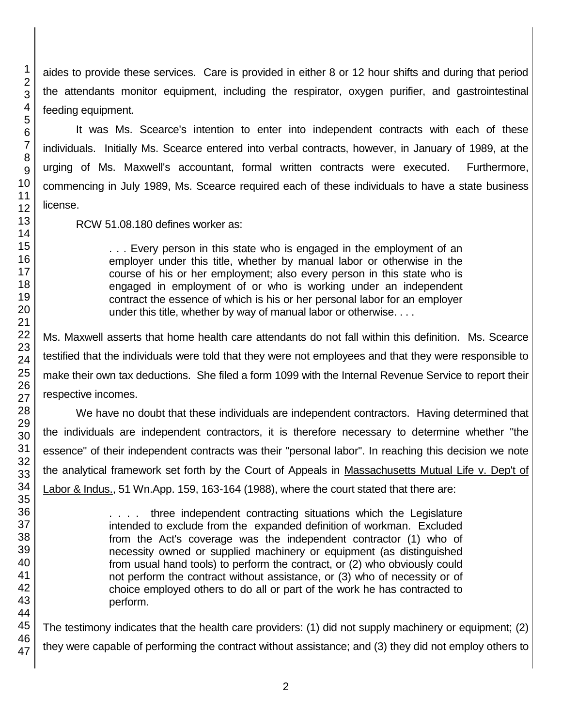aides to provide these services. Care is provided in either 8 or 12 hour shifts and during that period the attendants monitor equipment, including the respirator, oxygen purifier, and gastrointestinal feeding equipment.

It was Ms. Scearce's intention to enter into independent contracts with each of these individuals. Initially Ms. Scearce entered into verbal contracts, however, in January of 1989, at the urging of Ms. Maxwell's accountant, formal written contracts were executed. Furthermore, commencing in July 1989, Ms. Scearce required each of these individuals to have a state business license.

RCW 51.08.180 defines worker as:

. . . Every person in this state who is engaged in the employment of an employer under this title, whether by manual labor or otherwise in the course of his or her employment; also every person in this state who is engaged in employment of or who is working under an independent contract the essence of which is his or her personal labor for an employer under this title, whether by way of manual labor or otherwise. . . .

Ms. Maxwell asserts that home health care attendants do not fall within this definition. Ms. Scearce testified that the individuals were told that they were not employees and that they were responsible to make their own tax deductions. She filed a form 1099 with the Internal Revenue Service to report their respective incomes.

We have no doubt that these individuals are independent contractors. Having determined that the individuals are independent contractors, it is therefore necessary to determine whether "the essence" of their independent contracts was their "personal labor". In reaching this decision we note the analytical framework set forth by the Court of Appeals in Massachusetts Mutual Life v. Dep't of Labor & Indus., 51 Wn.App. 159, 163-164 (1988), where the court stated that there are:

> .... three independent contracting situations which the Legislature intended to exclude from the expanded definition of workman. Excluded from the Act's coverage was the independent contractor (1) who of necessity owned or supplied machinery or equipment (as distinguished from usual hand tools) to perform the contract, or (2) who obviously could not perform the contract without assistance, or (3) who of necessity or of choice employed others to do all or part of the work he has contracted to perform.

The testimony indicates that the health care providers: (1) did not supply machinery or equipment; (2) they were capable of performing the contract without assistance; and (3) they did not employ others to

1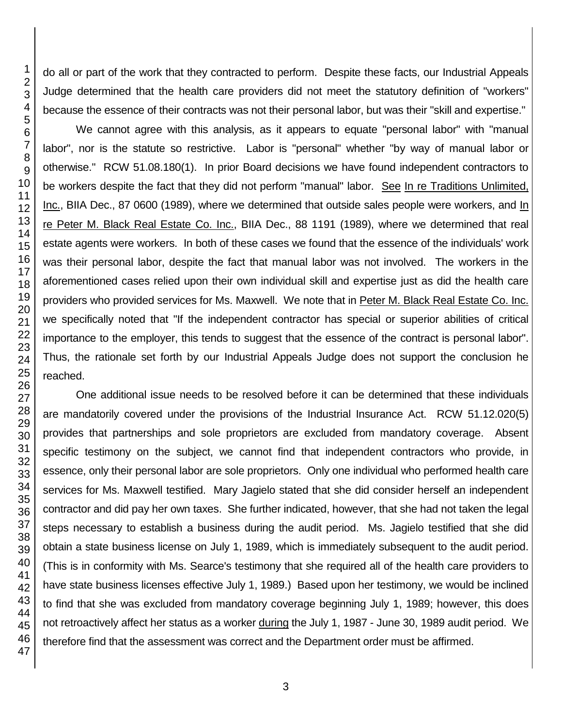do all or part of the work that they contracted to perform. Despite these facts, our Industrial Appeals Judge determined that the health care providers did not meet the statutory definition of "workers" because the essence of their contracts was not their personal labor, but was their "skill and expertise."

We cannot agree with this analysis, as it appears to equate "personal labor" with "manual labor", nor is the statute so restrictive. Labor is "personal" whether "by way of manual labor or otherwise." RCW 51.08.180(1). In prior Board decisions we have found independent contractors to be workers despite the fact that they did not perform "manual" labor. See In re Traditions Unlimited, Inc., BIIA Dec., 87 0600 (1989), where we determined that outside sales people were workers, and In re Peter M. Black Real Estate Co. Inc., BIIA Dec., 88 1191 (1989), where we determined that real estate agents were workers. In both of these cases we found that the essence of the individuals' work was their personal labor, despite the fact that manual labor was not involved. The workers in the aforementioned cases relied upon their own individual skill and expertise just as did the health care providers who provided services for Ms. Maxwell. We note that in Peter M. Black Real Estate Co. Inc. we specifically noted that "If the independent contractor has special or superior abilities of critical importance to the employer, this tends to suggest that the essence of the contract is personal labor". Thus, the rationale set forth by our Industrial Appeals Judge does not support the conclusion he reached.

One additional issue needs to be resolved before it can be determined that these individuals are mandatorily covered under the provisions of the Industrial Insurance Act. RCW 51.12.020(5) provides that partnerships and sole proprietors are excluded from mandatory coverage. Absent specific testimony on the subject, we cannot find that independent contractors who provide, in essence, only their personal labor are sole proprietors. Only one individual who performed health care services for Ms. Maxwell testified. Mary Jagielo stated that she did consider herself an independent contractor and did pay her own taxes. She further indicated, however, that she had not taken the legal steps necessary to establish a business during the audit period. Ms. Jagielo testified that she did obtain a state business license on July 1, 1989, which is immediately subsequent to the audit period. (This is in conformity with Ms. Searce's testimony that she required all of the health care providers to have state business licenses effective July 1, 1989.) Based upon her testimony, we would be inclined to find that she was excluded from mandatory coverage beginning July 1, 1989; however, this does not retroactively affect her status as a worker during the July 1, 1987 - June 30, 1989 audit period. We therefore find that the assessment was correct and the Department order must be affirmed.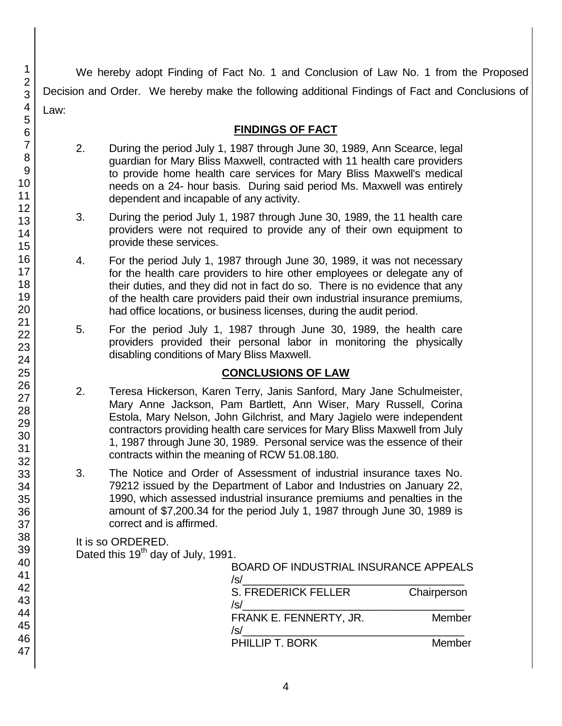We hereby adopt Finding of Fact No. 1 and Conclusion of Law No. 1 from the Proposed Decision and Order. We hereby make the following additional Findings of Fact and Conclusions of Law:

## **FINDINGS OF FACT**

- 2. During the period July 1, 1987 through June 30, 1989, Ann Scearce, legal guardian for Mary Bliss Maxwell, contracted with 11 health care providers to provide home health care services for Mary Bliss Maxwell's medical needs on a 24- hour basis. During said period Ms. Maxwell was entirely dependent and incapable of any activity.
- 3. During the period July 1, 1987 through June 30, 1989, the 11 health care providers were not required to provide any of their own equipment to provide these services.
- 4. For the period July 1, 1987 through June 30, 1989, it was not necessary for the health care providers to hire other employees or delegate any of their duties, and they did not in fact do so. There is no evidence that any of the health care providers paid their own industrial insurance premiums, had office locations, or business licenses, during the audit period.
- 5. For the period July 1, 1987 through June 30, 1989, the health care providers provided their personal labor in monitoring the physically disabling conditions of Mary Bliss Maxwell.

## **CONCLUSIONS OF LAW**

- 2. Teresa Hickerson, Karen Terry, Janis Sanford, Mary Jane Schulmeister, Mary Anne Jackson, Pam Bartlett, Ann Wiser, Mary Russell, Corina Estola, Mary Nelson, John Gilchrist, and Mary Jagielo were independent contractors providing health care services for Mary Bliss Maxwell from July 1, 1987 through June 30, 1989. Personal service was the essence of their contracts within the meaning of RCW 51.08.180.
- 3. The Notice and Order of Assessment of industrial insurance taxes No. 79212 issued by the Department of Labor and Industries on January 22, 1990, which assessed industrial insurance premiums and penalties in the amount of \$7,200.34 for the period July 1, 1987 through June 30, 1989 is correct and is affirmed.

It is so ORDERED. Dated this 19<sup>th</sup> day of July, 1991.

| , , , , , , , , , , | <b>BOARD OF INDUSTRIAL INSURANCE APPEALS</b><br>/s/ |             |
|---------------------|-----------------------------------------------------|-------------|
|                     | <b>S. FREDERICK FELLER</b><br>/s/                   | Chairperson |
|                     | FRANK E. FENNERTY, JR.<br>/s/                       | Member      |
|                     | PHILLIP T. BORK                                     | Member      |

1 2

4